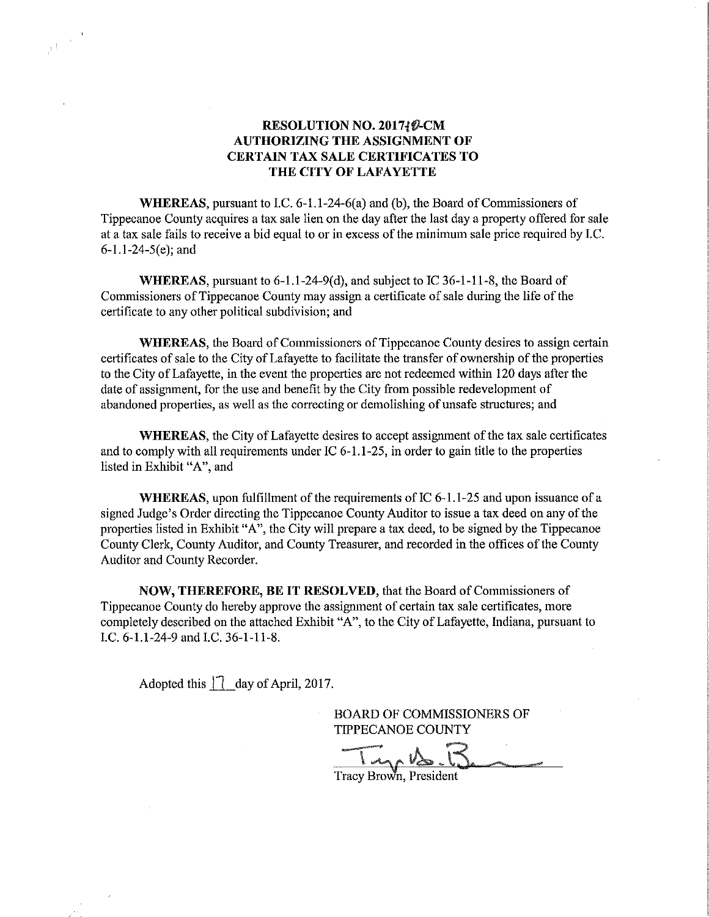## RESOLUTION NO. 2017{*Q*-CM AUTHORIZING THE ASSIGNMENT OF CERTAIN TAX SALE CERTIFICATES TO THE CITY OF LAFAYETTE

WHEREAS, pursuant to LC. 6—1.1—24-6(a) and (b), the Board of Commissioners of Tippecanoe County acquires a tax sale lien on the day after the last day a property offered for sale at <sup>a</sup> tax sale fails to receive <sup>a</sup> bid equal to or in excess of the minimum sale price required by LC.  $6-1.1-24-5(e)$ ; and

WHEREAS, pursuant to 6-1.1-24-9(d), and subject to IC 36-1-11-8, the Board of Commissioners of Tippecanoe County may assign <sup>a</sup> certificate of sale during the life of the certificate to any other political subdivision; and

WHEREAS, the Board of Commissioners of Tippecanoe County desires to assign certain certificates of sale to the City of Lafayette to facilitate the transfer of ownership of the properties to the City of Lafayette, in the event the properties are not redeemed within 120 days after the date of assignment, for the use and benefit by the City from possible redevelopment of abandoned properties, as well as the correcting or demolishing of unsafe structures; and

WHEREAS, the City of Lafayette desires to accept assignment of the tax sale certificates and to comply with all requirements under IC  $6-1.1-25$ , in order to gain title to the properties listed in Exhibit "A", and

WHEREAS, upon fulfillment of the requirements of IC 6-1.1-25 and upon issuance of a signed Judge's Order directing the Tippecanoe County Auditor to issue <sup>a</sup> tax deed on any of the properties listed in Exhibit "A", the City will prepare a tax deed, to be signed by the Tippecanoe County Clerk, County Auditor, and County Treasurer, and recorded in the offices of the County Auditor and County Recorder.

NOW, THEREFORE, BE IT RESOLVED, that the Board of Commissioners of Tippecanoe County do hereby approve the assignment of certain tax. sale certificates, more completely described on the attached Exhibit "A", to the City of Lafayette, Indiana, pursuant to I.C. 6-1.1-24-9 and I.C. 36-1-11-8.

Adopted this 3"! day opril, 2017.

ş f

BOARD OF COMMISSIONERS OF TIPPECANOE COUNT

Tracy Brown, President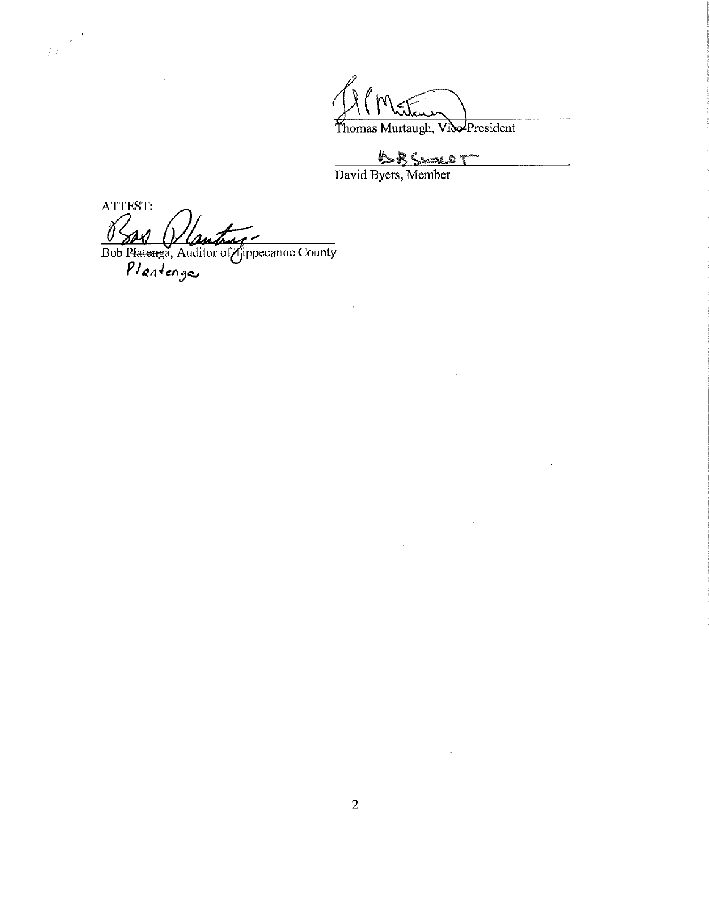Thomas Murtaugh, Vice President

David Byers, Member

ò,

 $\label{eq:2.1} \frac{1}{\sqrt{2\pi}}\int_{0}^{\infty}\frac{1}{\sqrt{2\pi}}\left(\frac{1}{\sqrt{2\pi}}\right)^{2\alpha}d\theta.$ 

ATTEST: Bob Platenga, Auditor of Airpecance County

 $\frac{1}{\sqrt{2\pi}}\sum_{i=1}^{N}\frac{1}{i\omega_{i}^{2}}\left( \frac{\partial\omega_{i}^{2}}{\partial\omega_{i}^{2}}\right) ^{2}$